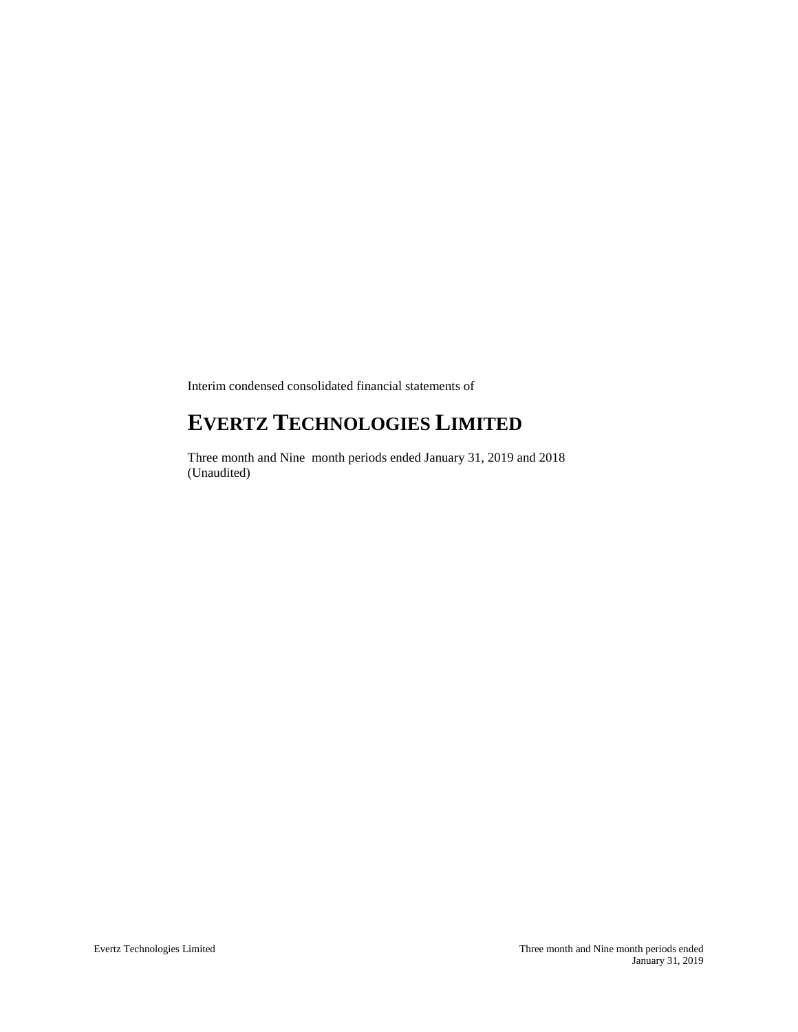Interim condensed consolidated financial statements of

# **EVERTZ TECHNOLOGIES LIMITED**

Three month and Nine month periods ended January 31, 2019 and 2018 (Unaudited)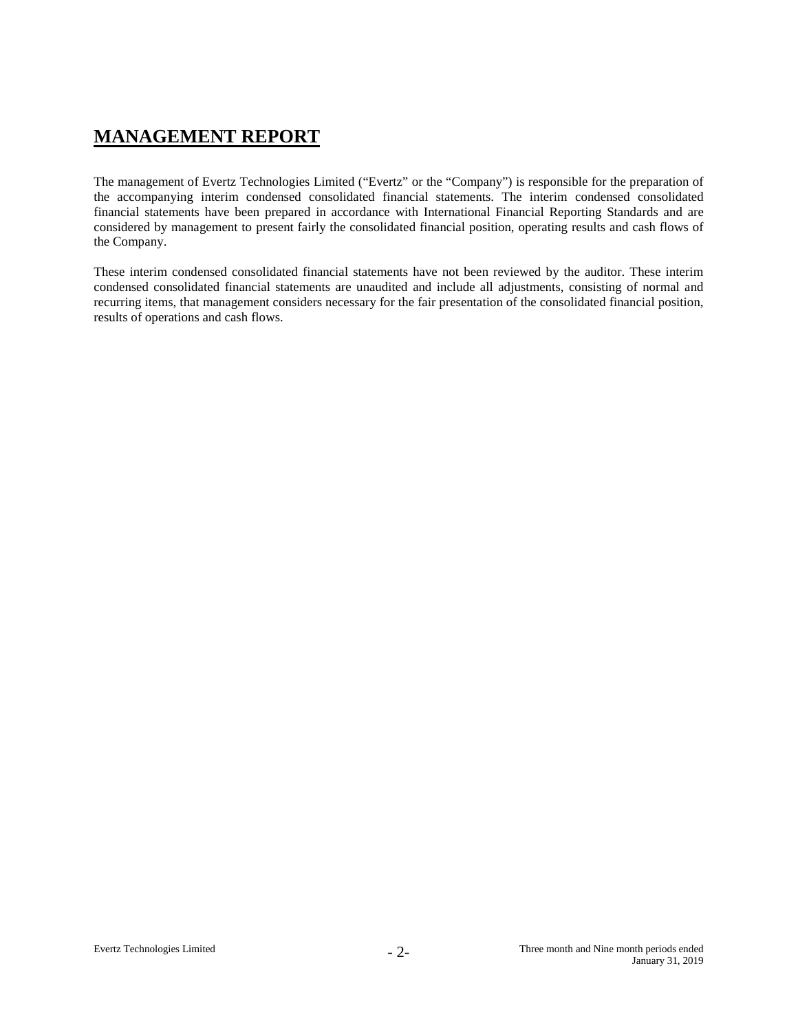# **MANAGEMENT REPORT**

The management of Evertz Technologies Limited ("Evertz" or the "Company") is responsible for the preparation of the accompanying interim condensed consolidated financial statements. The interim condensed consolidated financial statements have been prepared in accordance with International Financial Reporting Standards and are considered by management to present fairly the consolidated financial position, operating results and cash flows of the Company.

These interim condensed consolidated financial statements have not been reviewed by the auditor. These interim condensed consolidated financial statements are unaudited and include all adjustments, consisting of normal and recurring items, that management considers necessary for the fair presentation of the consolidated financial position, results of operations and cash flows.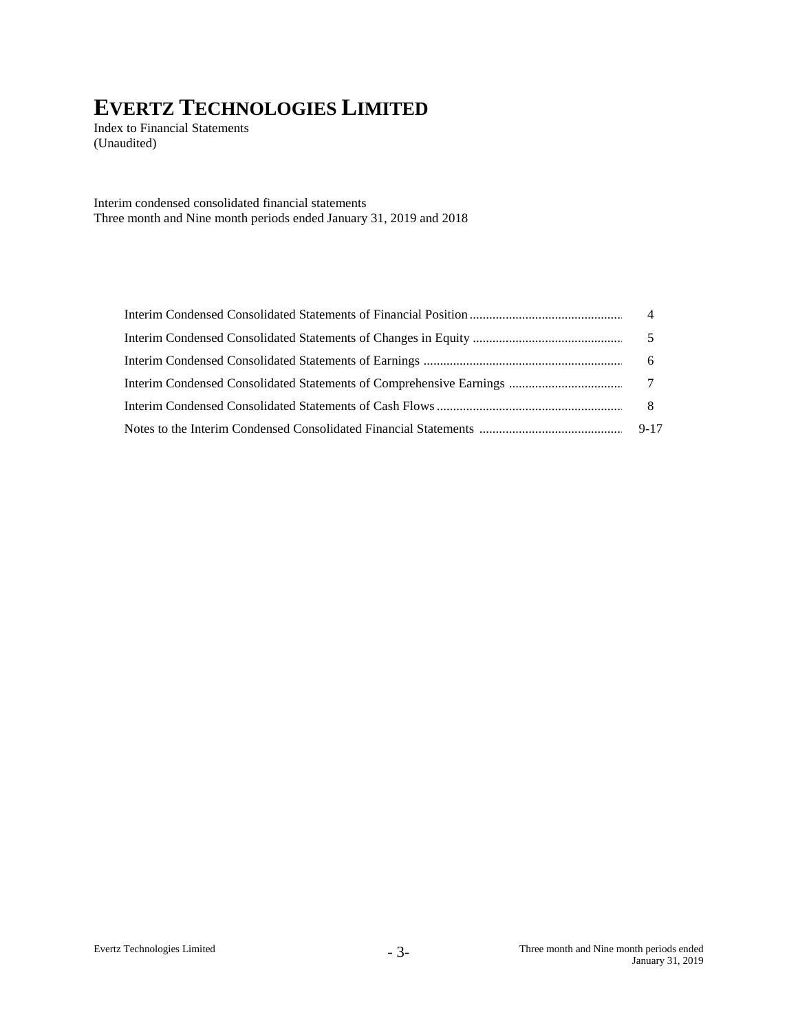Index to Financial Statements (Unaudited)

Interim condensed consolidated financial statements Three month and Nine month periods ended January 31, 2019 and 2018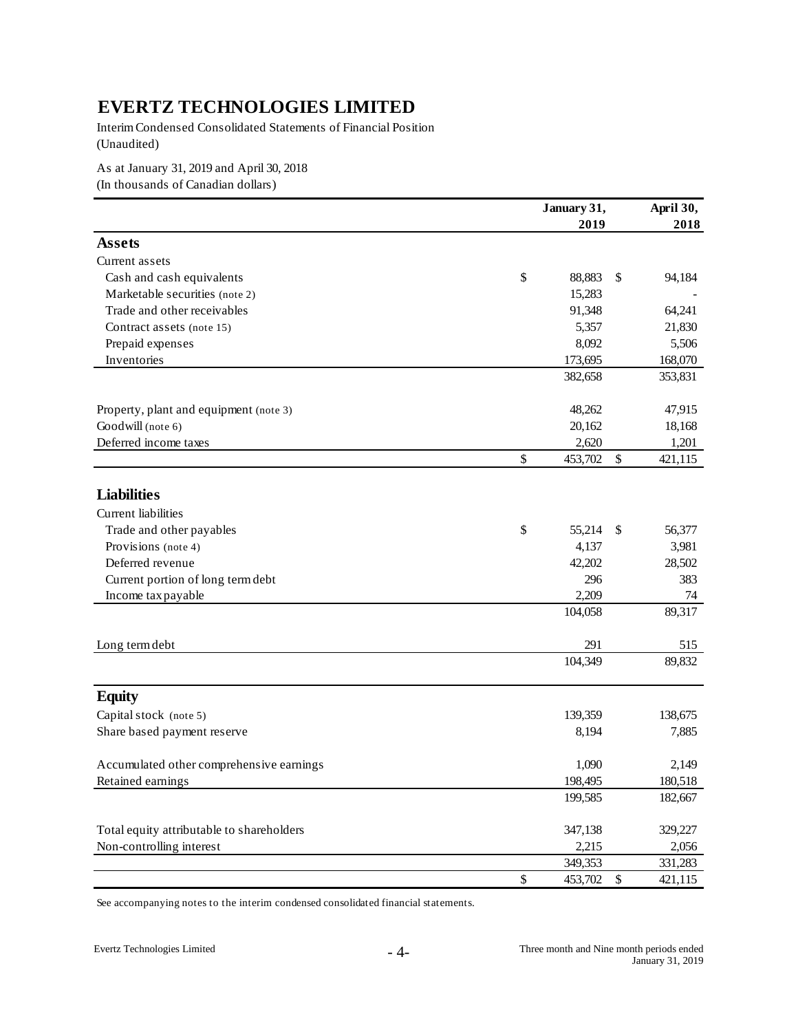Interim Condensed Consolidated Statements of Financial Position (Unaudited)

As at January 31, 2019 and April 30, 2018

(In thousands of Canadian dollars)

|                                           |      | January 31, | April 30,  |         |
|-------------------------------------------|------|-------------|------------|---------|
|                                           |      | 2019        |            | 2018    |
| <b>Assets</b>                             |      |             |            |         |
| Current assets                            |      |             |            |         |
| Cash and cash equivalents                 | \$   | 88,883      | \$         | 94,184  |
| Marketable securities (note 2)            |      | 15,283      |            |         |
| Trade and other receivables               |      | 91,348      |            | 64,241  |
| Contract assets (note 15)                 |      | 5,357       |            | 21,830  |
| Prepaid expenses                          |      | 8,092       |            | 5,506   |
| Inventories                               |      | 173,695     |            | 168,070 |
|                                           |      | 382,658     |            | 353,831 |
| Property, plant and equipment (note 3)    |      | 48,262      |            | 47,915  |
| Goodwill (note 6)                         |      | 20,162      |            | 18,168  |
| Deferred income taxes                     |      | 2,620       |            | 1,201   |
|                                           | \$   | 453,702     | \$         | 421,115 |
|                                           |      |             |            |         |
| <b>Liabilities</b>                        |      |             |            |         |
| Current liabilities                       |      |             |            |         |
| Trade and other payables                  | \$   | 55,214      | \$         | 56,377  |
| Provisions (note 4)                       |      | 4,137       |            | 3,981   |
| Deferred revenue                          |      | 42,202      |            | 28,502  |
| Current portion of long term debt         |      | 296         |            | 383     |
| Income tax payable                        |      | 2,209       |            | 74      |
|                                           |      | 104,058     |            | 89,317  |
| Long term debt                            |      | 291         |            | 515     |
|                                           |      | 104,349     |            | 89,832  |
| <b>Equity</b>                             |      |             |            |         |
| Capital stock (note 5)                    |      | 139,359     |            | 138,675 |
| Share based payment reserve               |      | 8,194       |            | 7,885   |
| Accumulated other comprehensive earnings  |      | 1,090       |            | 2,149   |
| Retained earnings                         |      | 198.495     |            | 180.518 |
|                                           |      | 199,585     |            | 182,667 |
| Total equity attributable to shareholders |      | 347,138     |            | 329,227 |
| Non-controlling interest                  |      | 2,215       |            | 2,056   |
|                                           |      | 349,353     |            | 331,283 |
|                                           | $\$$ | 453,702     | $\sqrt{5}$ | 421,115 |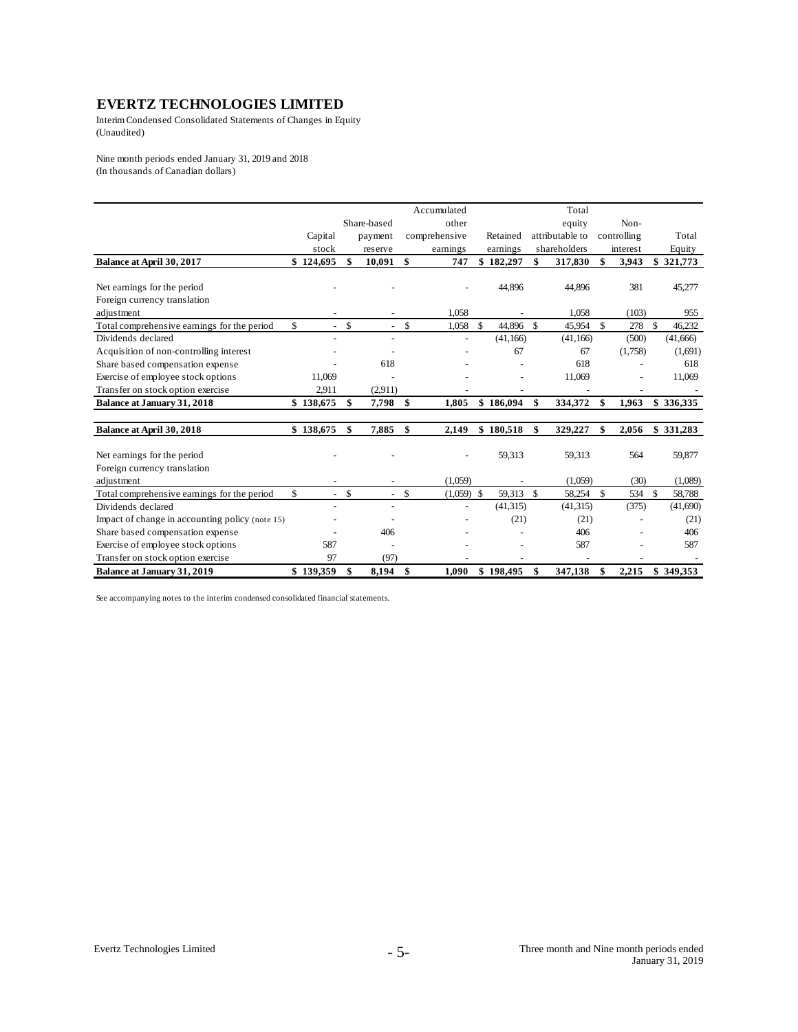Interim Condensed Consolidated Statements of Changes in Equity (Unaudited)

Nine month periods ended January 31, 2019 and 2018 (In thousands of Canadian dollars)

|                                                 |                                |                                |              | Accumulated              |                 | Total           |             |                    |           |
|-------------------------------------------------|--------------------------------|--------------------------------|--------------|--------------------------|-----------------|-----------------|-------------|--------------------|-----------|
|                                                 |                                | Share-based                    |              | other                    |                 | equity          | Non-        |                    |           |
|                                                 | Capital                        | payment                        |              | comprehensive            | Retained        | attributable to | controlling |                    | Total     |
|                                                 | stock                          | reserve                        |              | earnings                 | earnings        | shareholders    | interest    |                    | Equity    |
| Balance at April 30, 2017                       | \$124,695                      | \$<br>10,091                   | \$           | 747                      | \$182,297       | \$<br>317,830   | \$<br>3,943 |                    | \$321,773 |
|                                                 |                                |                                |              |                          |                 |                 |             |                    |           |
| Net earnings for the period                     |                                |                                |              |                          | 44,896          | 44,896          | 381         |                    | 45,277    |
| Foreign currency translation                    |                                |                                |              |                          |                 |                 |             |                    |           |
| adjustment                                      |                                |                                |              | 1.058                    |                 | 1,058           | (103)       |                    | 955       |
| Total comprehensive earnings for the period     | \$<br>$\overline{\phantom{a}}$ | \$<br>$\overline{\phantom{a}}$ | $\mathbf{s}$ | 1,058                    | \$<br>44,896 \$ | 45,954          | \$<br>278   | $\mathbf{\hat{s}}$ | 46,232    |
| Dividends declared                              |                                | $\overline{a}$                 |              | $\overline{\phantom{a}}$ | (41, 166)       | (41, 166)       | (500)       |                    | (41,666)  |
| Acquisition of non-controlling interest         |                                |                                |              |                          | 67              | 67              | (1,758)     |                    | (1,691)   |
| Share based compensation expense                |                                | 618                            |              |                          |                 | 618             |             |                    | 618       |
| Exercise of employee stock options              | 11.069                         |                                |              |                          |                 | 11,069          |             |                    | 11,069    |
| Transfer on stock option exercise               | 2.911                          | (2,911)                        |              |                          |                 |                 |             |                    |           |
| Balance at January 31, 2018                     | \$138,675                      | \$<br>7,798                    | \$           | 1.805                    | \$186,094       | \$<br>334,372   | \$<br>1,963 |                    | \$336,335 |
|                                                 |                                |                                |              |                          |                 |                 |             |                    |           |
| Balance at April 30, 2018                       | \$138,675                      | \$<br>7,885                    | \$           | 2,149                    | \$180,518       | \$<br>329,227   | \$<br>2,056 |                    | \$331,283 |
|                                                 |                                |                                |              |                          |                 |                 |             |                    |           |
| Net earnings for the period                     |                                |                                |              |                          | 59,313          | 59,313          | 564         |                    | 59,877    |
| Foreign currency translation                    |                                |                                |              |                          |                 |                 |             |                    |           |
| adjustment                                      |                                |                                |              | (1.059)                  |                 | (1,059)         | (30)        |                    | (1,089)   |
| Total comprehensive earnings for the period     | \$<br>$\blacksquare$           | \$<br>$\sim$                   | \$           | $(1.059)$ \$             | 59.313          | \$<br>58,254    | \$<br>534   | <sup>\$</sup>      | 58,788    |
| Dividends declared                              |                                | $\tilde{\phantom{a}}$          |              |                          | (41, 315)       | (41, 315)       | (375)       |                    | (41,690)  |
| Impact of change in accounting policy (note 15) |                                |                                |              |                          | (21)            | (21)            |             |                    | (21)      |
| Share based compensation expense                |                                | 406                            |              |                          |                 | 406             |             |                    | 406       |
| Exercise of employee stock options              | 587                            |                                |              |                          |                 | 587             |             |                    | 587       |
| Transfer on stock option exercise               | 97                             | (97)                           |              |                          |                 |                 |             |                    |           |
| <b>Balance at January 31, 2019</b>              | \$139,359                      | \$<br>8,194                    | \$           | 1.090                    | \$198,495       | \$<br>347,138   | \$<br>2,215 |                    | \$349.353 |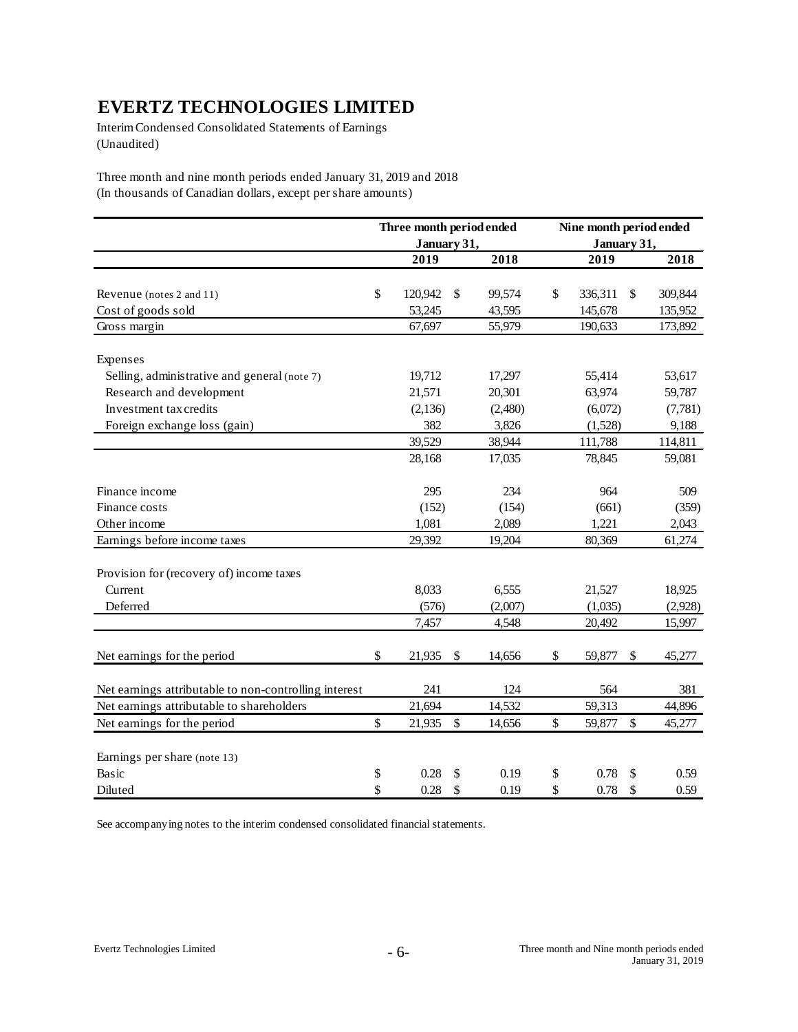Interim Condensed Consolidated Statements of Earnings (Unaudited)

Three month and nine month periods ended January 31, 2019 and 2018 (In thousands of Canadian dollars, except per share amounts)

|                                                       | Three month period ended |              |      | Nine month period ended |                           |         |  |  |
|-------------------------------------------------------|--------------------------|--------------|------|-------------------------|---------------------------|---------|--|--|
|                                                       | January 31,              |              |      | January 31,             |                           |         |  |  |
|                                                       | 2019                     | 2018         |      | 2019                    |                           | 2018    |  |  |
|                                                       |                          |              |      |                         |                           |         |  |  |
| Revenue (notes 2 and 11)                              | \$<br>120,942            | \$<br>99,574 | \$   | 336,311                 | \$                        | 309,844 |  |  |
| Cost of goods sold                                    | 53,245                   | 43,595       |      | 145,678                 |                           | 135,952 |  |  |
| Gross margin                                          | 67,697                   | 55,979       |      | 190,633                 |                           | 173,892 |  |  |
| Expenses                                              |                          |              |      |                         |                           |         |  |  |
| Selling, administrative and general (note 7)          | 19,712                   | 17,297       |      | 55,414                  |                           | 53,617  |  |  |
| Research and development                              | 21,571                   | 20,301       |      | 63,974                  |                           | 59,787  |  |  |
| Investment tax credits                                | (2, 136)                 | (2,480)      |      | (6,072)                 |                           | (7,781) |  |  |
| Foreign exchange loss (gain)                          | 382                      | 3,826        |      | (1,528)                 |                           | 9,188   |  |  |
|                                                       | 39,529                   | 38,944       |      | 111,788                 |                           | 114,811 |  |  |
|                                                       | 28,168                   | 17,035       |      | 78,845                  |                           | 59,081  |  |  |
| Finance income                                        | 295                      | 234          |      | 964                     |                           | 509     |  |  |
| Finance costs                                         | (152)                    | (154)        |      | (661)                   |                           | (359)   |  |  |
| Other income                                          | 1,081                    | 2,089        |      | 1,221                   |                           | 2,043   |  |  |
| Earnings before income taxes                          | 29,392                   | 19,204       |      | 80,369                  |                           | 61,274  |  |  |
| Provision for (recovery of) income taxes              |                          |              |      |                         |                           |         |  |  |
| Current                                               | 8,033                    | 6,555        |      | 21,527                  |                           | 18,925  |  |  |
| Deferred                                              | (576)                    | (2,007)      |      | (1,035)                 |                           | (2,928) |  |  |
|                                                       | 7,457                    | 4,548        |      | 20,492                  |                           | 15,997  |  |  |
| Net earnings for the period                           | \$<br>21,935             | \$<br>14,656 | \$   | 59,877                  | \$                        | 45,277  |  |  |
| Net earnings attributable to non-controlling interest | 241                      | 124          |      | 564                     |                           | 381     |  |  |
| Net earnings attributable to shareholders             | 21,694                   | 14,532       |      | 59,313                  |                           | 44,896  |  |  |
| Net earnings for the period                           | \$<br>21,935             | \$<br>14,656 | $\$$ | 59,877                  | $\boldsymbol{\mathsf{S}}$ | 45,277  |  |  |
| Earnings per share (note 13)                          |                          |              |      |                         |                           |         |  |  |
| Basic                                                 | \$<br>0.28               | \$<br>0.19   | \$   | 0.78                    | \$                        | 0.59    |  |  |
| Diluted                                               | \$<br>0.28               | \$<br>0.19   | \$   | 0.78                    | \$                        | 0.59    |  |  |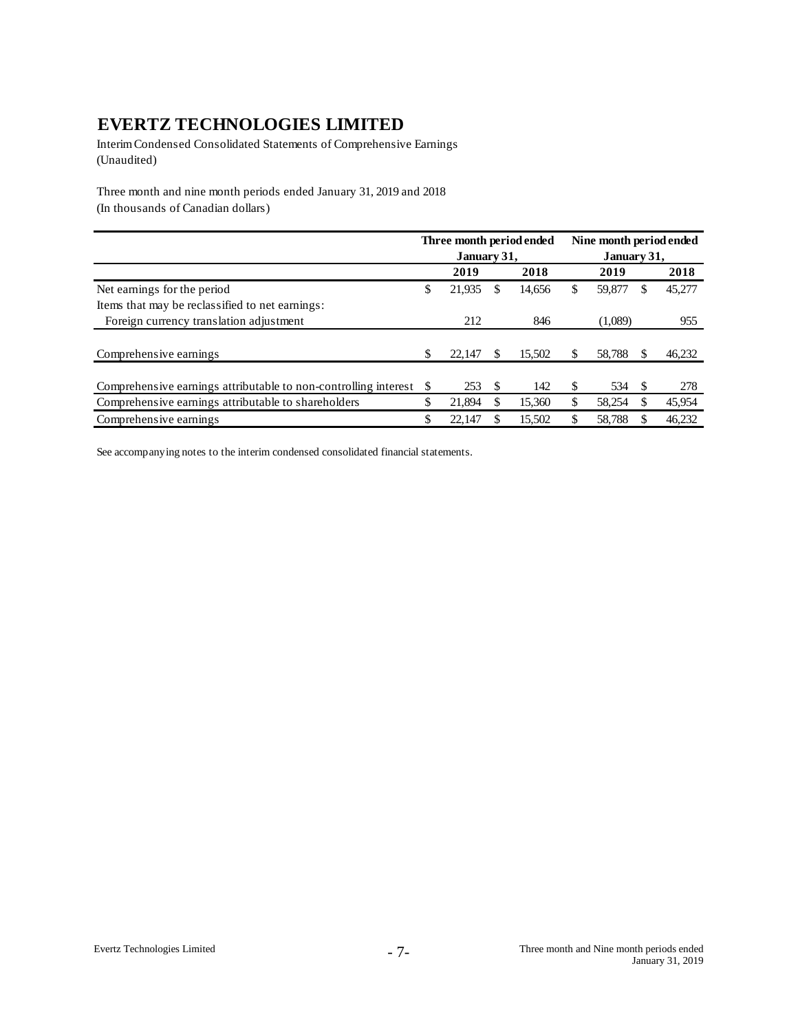Interim Condensed Consolidated Statements of Comprehensive Earnings (Unaudited)

Three month and nine month periods ended January 31, 2019 and 2018 (In thousands of Canadian dollars)

|                                                                 |    |             |     | Three month period ended | Nine month period ended |             |     |        |  |
|-----------------------------------------------------------------|----|-------------|-----|--------------------------|-------------------------|-------------|-----|--------|--|
|                                                                 |    | January 31, |     |                          |                         | January 31, |     |        |  |
|                                                                 |    | 2019        |     | 2018                     |                         | 2019        |     | 2018   |  |
| Net earnings for the period                                     | \$ | 21,935      | \$. | 14,656                   | \$                      | 59,877      | S   | 45,277 |  |
| Items that may be reclassified to net earnings:                 |    |             |     |                          |                         |             |     |        |  |
| Foreign currency translation adjustment                         |    | 212         |     | 846                      |                         | (1,089)     |     | 955    |  |
|                                                                 |    |             |     |                          |                         |             |     |        |  |
| Comprehensive earnings                                          | S  | 22,147      | S.  | 15.502                   | \$                      | 58,788      | S   | 46,232 |  |
|                                                                 |    |             |     |                          |                         |             |     |        |  |
| Comprehensive earnings attributable to non-controlling interest |    | 253         | \$. | 142                      | \$.                     | 534         | \$. | 278    |  |
| Comprehensive earnings attributable to shareholders             | \$ | 21.894      |     | 15.360                   | \$                      | 58.254      |     | 45,954 |  |
| Comprehensive earnings                                          |    | 22.147      |     | 15,502                   |                         | 58,788      |     | 46,232 |  |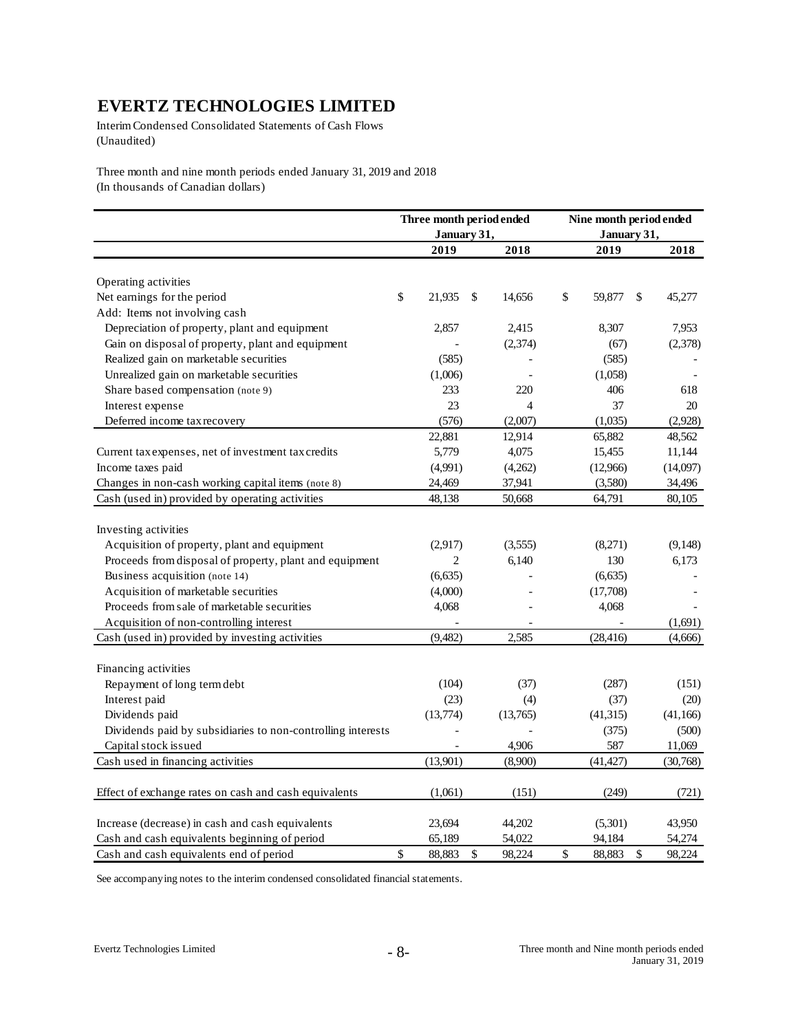Interim Condensed Consolidated Statements of Cash Flows (Unaudited)

Three month and nine month periods ended January 31, 2019 and 2018 (In thousands of Canadian dollars)

|                                                             | Three month period ended |                | Nine month period ended |               |           |
|-------------------------------------------------------------|--------------------------|----------------|-------------------------|---------------|-----------|
|                                                             | January 31,<br>2019      | 2018           | January 31,<br>2019     |               | 2018      |
|                                                             |                          |                |                         |               |           |
| Operating activities                                        |                          |                |                         |               |           |
| Net earnings for the period                                 | \$<br>21,935             | \$<br>14,656   | \$<br>59,877            | <sup>\$</sup> | 45,277    |
| Add: Items not involving cash                               |                          |                |                         |               |           |
| Depreciation of property, plant and equipment               | 2,857                    | 2,415          | 8,307                   |               | 7,953     |
| Gain on disposal of property, plant and equipment           |                          | (2,374)        | (67)                    |               | (2,378)   |
| Realized gain on marketable securities                      | (585)                    |                | (585)                   |               |           |
| Unrealized gain on marketable securities                    | (1,006)                  |                | (1,058)                 |               |           |
| Share based compensation (note 9)                           | 233                      | 220            | 406                     |               | 618       |
| Interest expense                                            | 23                       | $\overline{4}$ | 37                      |               | 20        |
| Deferred income tax recovery                                | (576)                    | (2,007)        | (1,035)                 |               | (2,928)   |
|                                                             | 22,881                   | 12,914         | 65,882                  |               | 48,562    |
| Current tax expenses, net of investment tax credits         | 5,779                    | 4,075          | 15,455                  |               | 11,144    |
| Income taxes paid                                           | (4,991)                  | (4,262)        | (12,966)                |               | (14,097)  |
| Changes in non-cash working capital items (note 8)          | 24,469                   | 37,941         | (3,580)                 |               | 34,496    |
| Cash (used in) provided by operating activities             | 48,138                   | 50,668         | 64,791                  |               | 80,105    |
|                                                             |                          |                |                         |               |           |
| Investing activities                                        |                          |                |                         |               |           |
| Acquisition of property, plant and equipment                | (2,917)                  | (3,555)        | (8,271)                 |               | (9, 148)  |
| Proceeds from disposal of property, plant and equipment     | $\overline{c}$           | 6,140          | 130                     |               | 6,173     |
| Business acquisition (note 14)                              | (6,635)                  |                | (6,635)                 |               |           |
| Acquisition of marketable securities                        | (4,000)                  |                | (17,708)                |               |           |
| Proceeds from sale of marketable securities                 | 4,068                    |                | 4,068                   |               |           |
| Acquisition of non-controlling interest                     |                          | $\blacksquare$ |                         |               | (1,691)   |
| Cash (used in) provided by investing activities             | (9,482)                  | 2,585          | (28, 416)               |               | (4,666)   |
| Financing activities                                        |                          |                |                         |               |           |
| Repayment of long term debt                                 | (104)                    | (37)           | (287)                   |               | (151)     |
| Interest paid                                               | (23)                     | (4)            | (37)                    |               | (20)      |
| Dividends paid                                              | (13,774)                 | (13,765)       | (41, 315)               |               | (41, 166) |
| Dividends paid by subsidiaries to non-controlling interests |                          |                | (375)                   |               | (500)     |
| Capital stock issued                                        |                          | 4,906          | 587                     |               | 11,069    |
| Cash used in financing activities                           | (13,901)                 | (8,900)        | (41, 427)               |               | (30,768)  |
|                                                             |                          |                |                         |               |           |
| Effect of exchange rates on cash and cash equivalents       | (1,061)                  | (151)          | (249)                   |               | (721)     |
| Increase (decrease) in cash and cash equivalents            | 23,694                   | 44,202         | (5,301)                 |               | 43,950    |
| Cash and cash equivalents beginning of period               | 65,189                   | 54,022         | 94,184                  |               | 54,274    |
| Cash and cash equivalents end of period                     | \$<br>88,883             | \$<br>98,224   | \$<br>88,883            | \$            | 98,224    |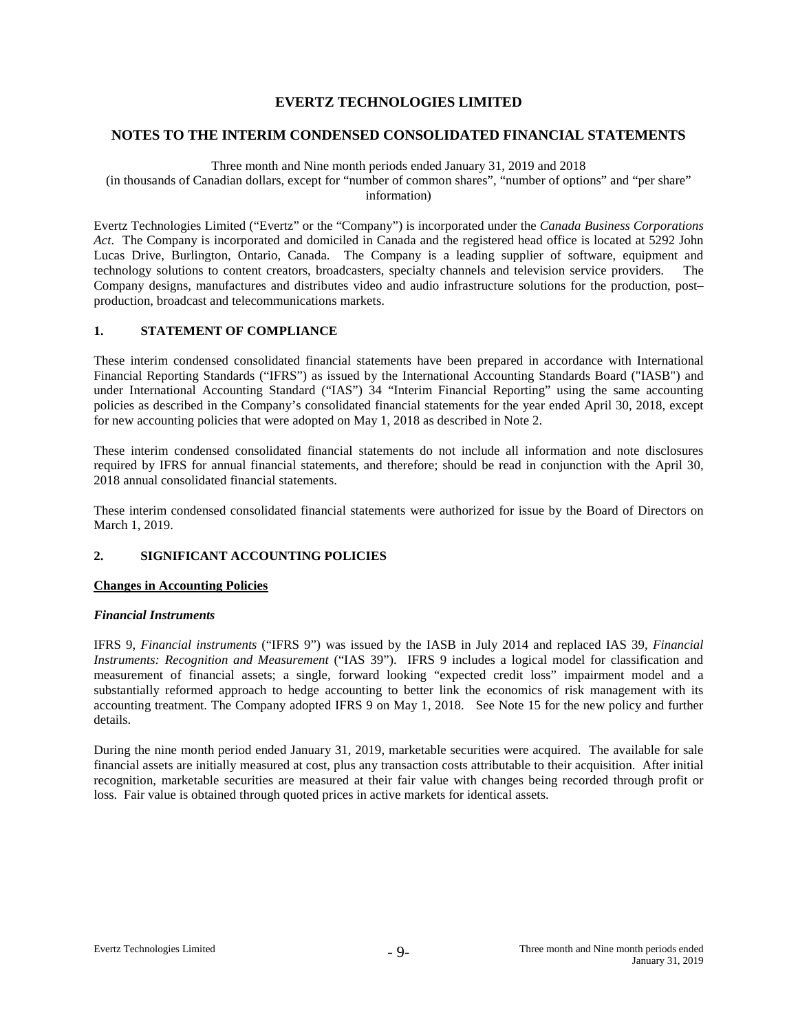#### **NOTES TO THE INTERIM CONDENSED CONSOLIDATED FINANCIAL STATEMENTS**

#### Three month and Nine month periods ended January 31, 2019 and 2018

(in thousands of Canadian dollars, except for "number of common shares", "number of options" and "per share" information)

Evertz Technologies Limited ("Evertz" or the "Company") is incorporated under the *Canada Business Corporations Act*. The Company is incorporated and domiciled in Canada and the registered head office is located at 5292 John Lucas Drive, Burlington, Ontario, Canada. The Company is a leading supplier of software, equipment and technology solutions to content creators, broadcasters, specialty channels and television service providers. The Company designs, manufactures and distributes video and audio infrastructure solutions for the production, post– production, broadcast and telecommunications markets.

### **1. STATEMENT OF COMPLIANCE**

These interim condensed consolidated financial statements have been prepared in accordance with International Financial Reporting Standards ("IFRS") as issued by the International Accounting Standards Board ("IASB") and under International Accounting Standard ("IAS") 34 "Interim Financial Reporting" using the same accounting policies as described in the Company's consolidated financial statements for the year ended April 30, 2018, except for new accounting policies that were adopted on May 1, 2018 as described in Note 2.

These interim condensed consolidated financial statements do not include all information and note disclosures required by IFRS for annual financial statements, and therefore; should be read in conjunction with the April 30, 2018 annual consolidated financial statements.

These interim condensed consolidated financial statements were authorized for issue by the Board of Directors on March 1, 2019.

# **2. SIGNIFICANT ACCOUNTING POLICIES**

# **Changes in Accounting Policies**

#### *Financial Instruments*

IFRS 9, *Financial instruments* ("IFRS 9") was issued by the IASB in July 2014 and replaced IAS 39, *Financial Instruments: Recognition and Measurement* ("IAS 39"). IFRS 9 includes a logical model for classification and measurement of financial assets; a single, forward looking "expected credit loss" impairment model and a substantially reformed approach to hedge accounting to better link the economics of risk management with its accounting treatment. The Company adopted IFRS 9 on May 1, 2018. See Note 15 for the new policy and further details.

During the nine month period ended January 31, 2019, marketable securities were acquired. The available for sale financial assets are initially measured at cost, plus any transaction costs attributable to their acquisition. After initial recognition, marketable securities are measured at their fair value with changes being recorded through profit or loss. Fair value is obtained through quoted prices in active markets for identical assets.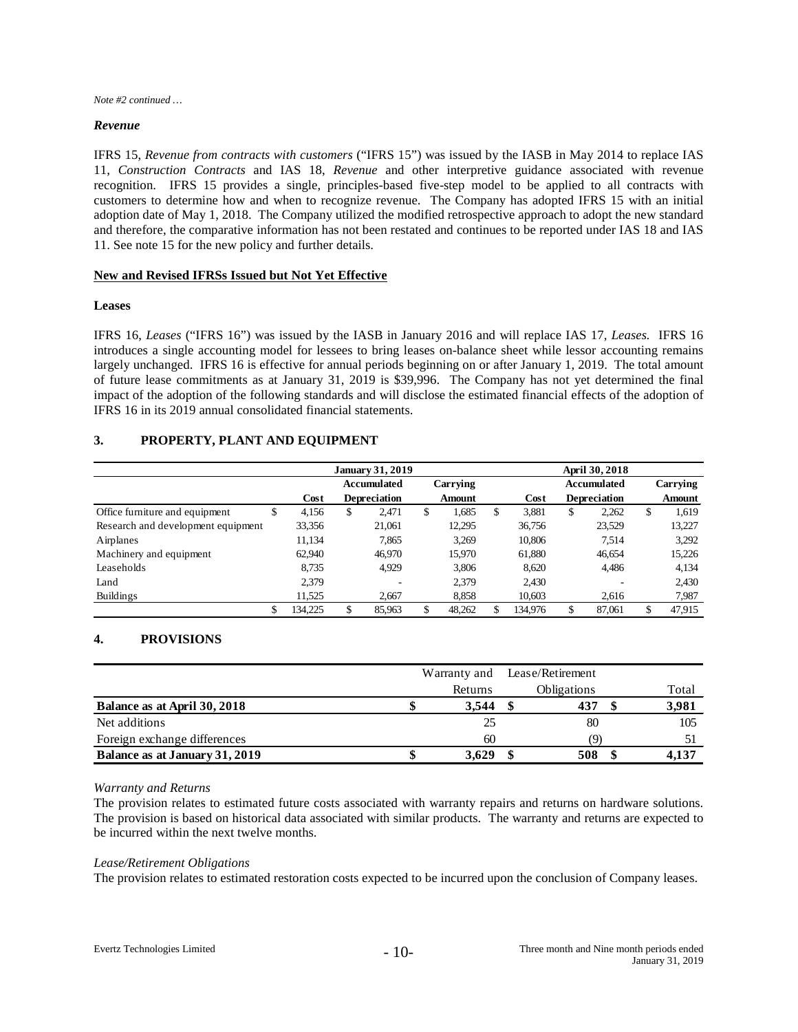*Note #2 continued …*

#### *Revenue*

IFRS 15, *Revenue from contracts with customers* ("IFRS 15") was issued by the IASB in May 2014 to replace IAS 11, *Construction Contracts* and IAS 18, *Revenue* and other interpretive guidance associated with revenue recognition. IFRS 15 provides a single, principles-based five-step model to be applied to all contracts with customers to determine how and when to recognize revenue. The Company has adopted IFRS 15 with an initial adoption date of May 1, 2018. The Company utilized the modified retrospective approach to adopt the new standard and therefore, the comparative information has not been restated and continues to be reported under IAS 18 and IAS 11. See note 15 for the new policy and further details.

#### **New and Revised IFRSs Issued but Not Yet Effective**

#### **Leases**

IFRS 16, *Leases* ("IFRS 16") was issued by the IASB in January 2016 and will replace IAS 17, *Leases.* IFRS 16 introduces a single accounting model for lessees to bring leases on-balance sheet while lessor accounting remains largely unchanged. IFRS 16 is effective for annual periods beginning on or after January 1, 2019. The total amount of future lease commitments as at January 31, 2019 is \$39,996. The Company has not yet determined the final impact of the adoption of the following standards and will disclose the estimated financial effects of the adoption of IFRS 16 in its 2019 annual consolidated financial statements.

# **3. PROPERTY, PLANT AND EQUIPMENT**

|                                    |               |        | <b>January 31, 2019</b> |               |             | April 30, 2018      |              |
|------------------------------------|---------------|--------|-------------------------|---------------|-------------|---------------------|--------------|
|                                    |               |        | Accumulated             | Carrying      |             | <b>Accumulated</b>  | Carrying     |
|                                    |               | Cost   | <b>Depreciation</b>     | <b>Amount</b> | Cost        | <b>Depreciation</b> | Amount       |
| Office furniture and equipment     | D             | 4,156  | \$<br>2.471             | \$<br>1,685   | \$<br>3,881 | \$<br>2,262         | \$<br>1,619  |
| Research and development equipment |               | 33,356 | 21,061                  | 12,295        | 36,756      | 23,529              | 13,227       |
| Airplanes                          |               | 11,134 | 7,865                   | 3,269         | 10,806      | 7.514               | 3,292        |
| Machinery and equipment            |               | 62,940 | 46,970                  | 15,970        | 61,880      | 46,654              | 15,226       |
| Leaseholds                         |               | 8.735  | 4.929                   | 3,806         | 8.620       | 4,486               | 4,134        |
| Land                               |               | 2.379  |                         | 2,379         | 2.430       |                     | 2.430        |
| <b>Buildings</b>                   |               | 11,525 | 2.667                   | 8,858         | 10,603      | 2,616               | 7,987        |
|                                    | \$<br>134,225 |        | 85,963                  | 48,262        | 134,976     | \$<br>87.061        | \$<br>47,915 |

# **4. PROVISIONS**

|                                |         | Warranty and Lease/Retirement |       |
|--------------------------------|---------|-------------------------------|-------|
|                                | Returns | <b>Obligations</b>            | Total |
| Balance as at April 30, 2018   | 3.544   | 437                           | 3,981 |
| Net additions                  | 25      | 80                            | 105   |
| Foreign exchange differences   | 60      | `Q`                           |       |
| Balance as at January 31, 2019 | 3.629   | 508                           | 4,137 |

#### *Warranty and Returns*

The provision relates to estimated future costs associated with warranty repairs and returns on hardware solutions. The provision is based on historical data associated with similar products. The warranty and returns are expected to be incurred within the next twelve months.

#### *Lease/Retirement Obligations*

The provision relates to estimated restoration costs expected to be incurred upon the conclusion of Company leases.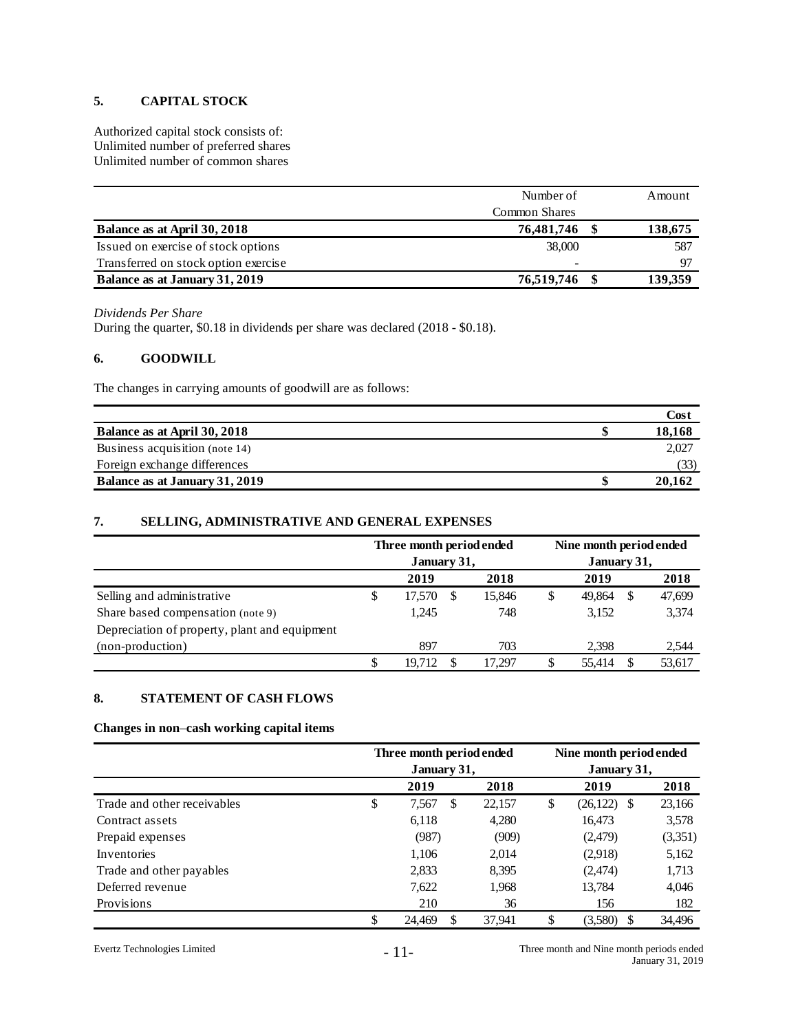# **5. CAPITAL STOCK**

Authorized capital stock consists of: Unlimited number of preferred shares Unlimited number of common shares

|                                      | Number of            | Amount  |
|--------------------------------------|----------------------|---------|
|                                      | <b>Common Shares</b> |         |
| Balance as at April 30, 2018         | 76,481,746           | 138,675 |
| Issued on exercise of stock options  | 38,000               | 587     |
| Transferred on stock option exercise | -                    | 97      |
| Balance as at January 31, 2019       | 76,519,746           | 139,359 |

#### *Dividends Per Share*

During the quarter, \$0.18 in dividends per share was declared (2018 - \$0.18).

# **6. GOODWILL**

The changes in carrying amounts of goodwill are as follows:

|                                | Cost   |
|--------------------------------|--------|
| Balance as at April 30, 2018   | 18,168 |
| Business acquisition (note 14) | 2.027  |
| Foreign exchange differences   | (33)   |
| Balance as at January 31, 2019 | 20.162 |

# **7. SELLING, ADMINISTRATIVE AND GENERAL EXPENSES**

|                                               |    | Three month period ended |   |        | Nine month period ended |        |   |        |  |  |
|-----------------------------------------------|----|--------------------------|---|--------|-------------------------|--------|---|--------|--|--|
|                                               |    | January 31,              |   |        | January 31,             |        |   |        |  |  |
|                                               |    | 2019                     |   | 2018   |                         | 2019   |   | 2018   |  |  |
| Selling and administrative                    | \$ | 17,570                   | S | 15,846 | \$                      | 49.864 | S | 47,699 |  |  |
| Share based compensation (note 9)             |    | 1.245                    |   | 748    |                         | 3.152  |   | 3,374  |  |  |
| Depreciation of property, plant and equipment |    |                          |   |        |                         |        |   |        |  |  |
| (non-production)                              |    | 897                      |   | 703    |                         | 2.398  |   | 2,544  |  |  |
|                                               | S  | 19.712                   |   | 17.297 | \$                      | 55.414 |   | 53,617 |  |  |

# **8. STATEMENT OF CASH FLOWS**

#### **Changes in non**–**cash working capital items**

|                             | Three month period ended |              | Nine month period ended |               |         |  |  |
|-----------------------------|--------------------------|--------------|-------------------------|---------------|---------|--|--|
|                             | January 31,              |              |                         | January 31,   |         |  |  |
|                             | 2019                     | 2018         |                         | 2019          | 2018    |  |  |
| Trade and other receivables | \$<br>7,567              | \$<br>22,157 | \$                      | $(26,122)$ \$ | 23,166  |  |  |
| Contract assets             | 6,118                    | 4,280        |                         | 16,473        | 3,578   |  |  |
| Prepaid expenses            | (987)                    | (909)        |                         | (2,479)       | (3,351) |  |  |
| Inventories                 | 1,106                    | 2,014        |                         | (2,918)       | 5,162   |  |  |
| Trade and other payables    | 2,833                    | 8,395        |                         | (2,474)       | 1,713   |  |  |
| Deferred revenue            | 7,622                    | 1,968        |                         | 13,784        | 4,046   |  |  |
| Provisions                  | 210                      | 36           |                         | 156           | 182     |  |  |
|                             | 24,469                   | 37.941       |                         | (3,580)       | 34,496  |  |  |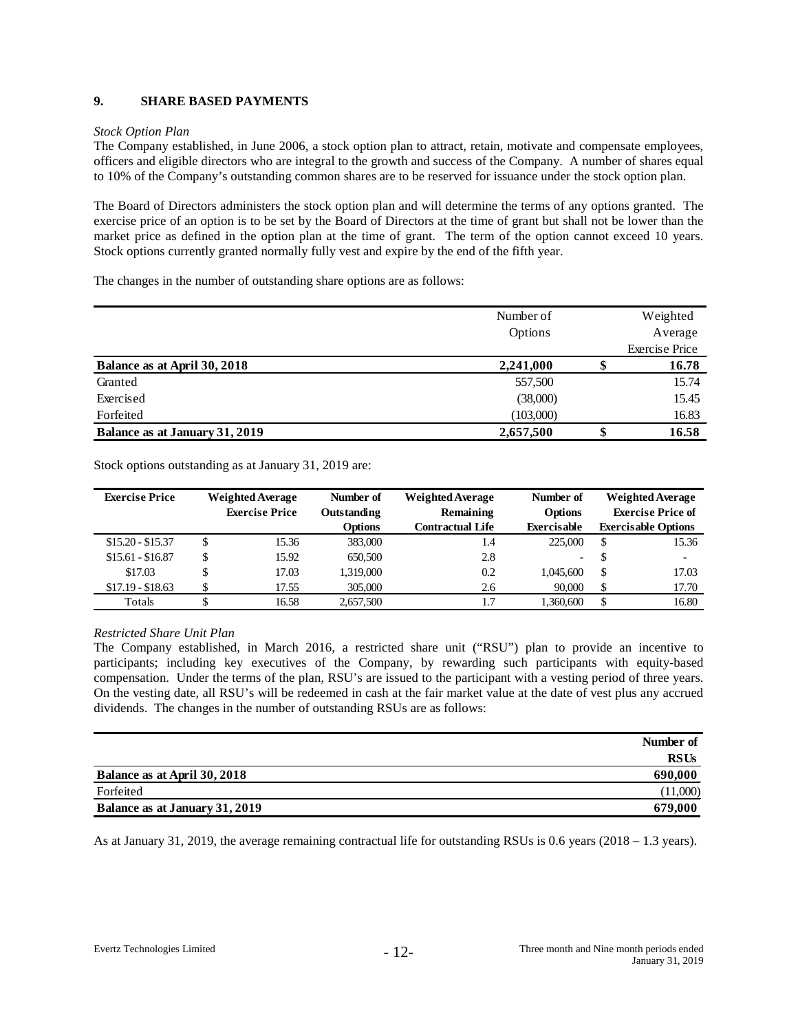# **9. SHARE BASED PAYMENTS**

### *Stock Option Plan*

The Company established, in June 2006, a stock option plan to attract, retain, motivate and compensate employees, officers and eligible directors who are integral to the growth and success of the Company. A number of shares equal to 10% of the Company's outstanding common shares are to be reserved for issuance under the stock option plan.

The Board of Directors administers the stock option plan and will determine the terms of any options granted. The exercise price of an option is to be set by the Board of Directors at the time of grant but shall not be lower than the market price as defined in the option plan at the time of grant. The term of the option cannot exceed 10 years. Stock options currently granted normally fully vest and expire by the end of the fifth year.

The changes in the number of outstanding share options are as follows:

|                                | Number of |   | Weighted              |
|--------------------------------|-----------|---|-----------------------|
|                                | Options   |   | Average               |
|                                |           |   | <b>Exercise Price</b> |
| Balance as at April 30, 2018   | 2,241,000 |   | 16.78                 |
| Granted                        | 557,500   |   | 15.74                 |
| Exercised                      | (38,000)  |   | 15.45                 |
| Forfeited                      | (103,000) |   | 16.83                 |
| Balance as at January 31, 2019 | 2,657,500 | J | 16.58                 |

Stock options outstanding as at January 31, 2019 are:

| <b>Exercise Price</b> |    | <b>Weighted Average</b> | Number of   | <b>Weighted Average</b> | Number of                |    | <b>Weighted Average</b>    |
|-----------------------|----|-------------------------|-------------|-------------------------|--------------------------|----|----------------------------|
|                       |    | <b>Exercise Price</b>   | Outstanding | <b>Remaining</b>        | <b>Options</b>           |    | <b>Exercise Price of</b>   |
|                       |    |                         | Options     | <b>Contractual Life</b> | <b>Exercisable</b>       |    | <b>Exercisable Options</b> |
| $$15.20 - $15.37$     | \$ | 15.36                   | 383,000     | 1.4                     | 225,000                  | \$ | 15.36                      |
| $$15.61 - $16.87$     |    | 15.92                   | 650,500     | 2.8                     | $\overline{\phantom{a}}$ | S  | -                          |
| \$17.03               | \$ | 17.03                   | 1,319,000   | 0.2                     | 1.045.600                | \$ | 17.03                      |
| $$17.19 - $18.63$     | Φ  | 17.55                   | 305,000     | 2.6                     | 90,000                   | \$ | 17.70                      |
| Totals                |    | 16.58                   | 2.657.500   | 1.7                     | 1.360.600                | \$ | 16.80                      |

# *Restricted Share Unit Plan*

The Company established, in March 2016, a restricted share unit ("RSU") plan to provide an incentive to participants; including key executives of the Company, by rewarding such participants with equity-based compensation. Under the terms of the plan, RSU's are issued to the participant with a vesting period of three years. On the vesting date, all RSU's will be redeemed in cash at the fair market value at the date of vest plus any accrued dividends. The changes in the number of outstanding RSUs are as follows:

|                                | Number of   |
|--------------------------------|-------------|
|                                | <b>RSUs</b> |
| Balance as at April 30, 2018   | 690,000     |
| Forfeited                      | (11,000)    |
| Balance as at January 31, 2019 | 679,000     |

As at January 31, 2019, the average remaining contractual life for outstanding RSUs is 0.6 years (2018 – 1.3 years).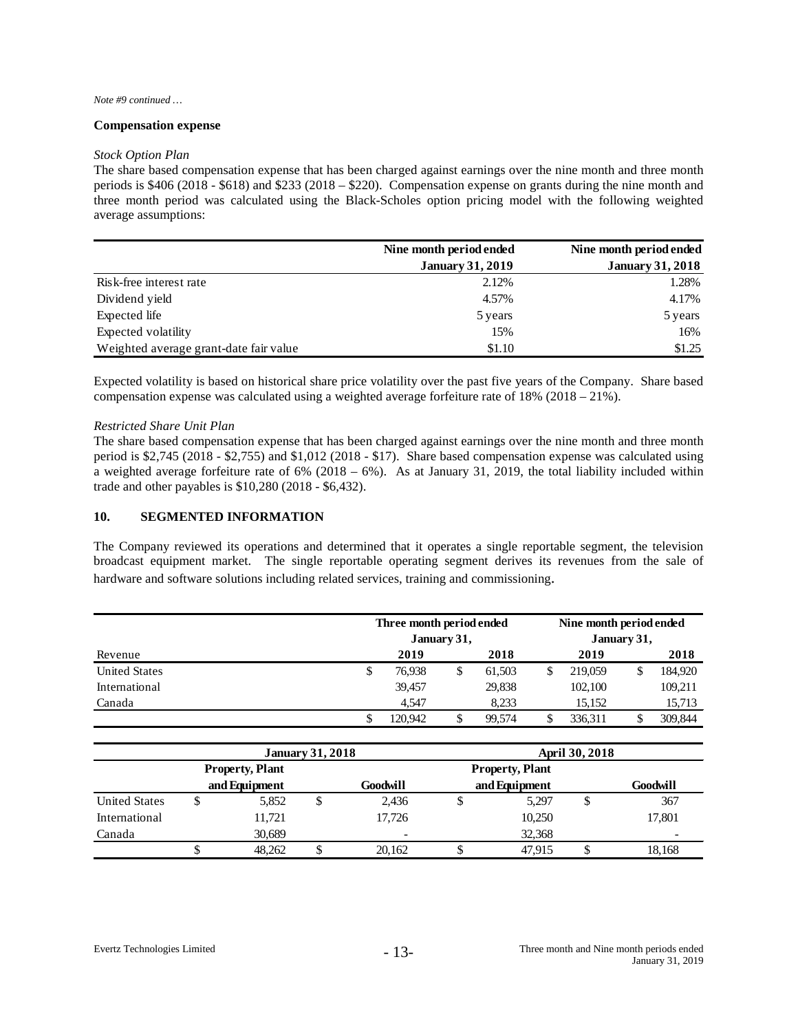#### *Note #9 continued …*

#### **Compensation expense**

#### *Stock Option Plan*

The share based compensation expense that has been charged against earnings over the nine month and three month periods is \$406 (2018 - \$618) and \$233 (2018 – \$220). Compensation expense on grants during the nine month and three month period was calculated using the Black-Scholes option pricing model with the following weighted average assumptions:

|                                        | Nine month period ended | Nine month period ended |
|----------------------------------------|-------------------------|-------------------------|
|                                        | <b>January 31, 2019</b> | <b>January 31, 2018</b> |
| Risk-free interest rate                | 2.12%                   | 1.28%                   |
| Dividend yield                         | 4.57%                   | 4.17%                   |
| Expected life                          | 5 years                 | 5 years                 |
| Expected volatility                    | 15%                     | 16%                     |
| Weighted average grant-date fair value | \$1.10                  | \$1.25                  |

Expected volatility is based on historical share price volatility over the past five years of the Company. Share based compensation expense was calculated using a weighted average forfeiture rate of 18% (2018 – 21%).

#### *Restricted Share Unit Plan*

The share based compensation expense that has been charged against earnings over the nine month and three month period is \$2,745 (2018 - \$2,755) and \$1,012 (2018 - \$17). Share based compensation expense was calculated using a weighted average forfeiture rate of 6% (2018 – 6%). As at January 31, 2019, the total liability included within trade and other payables is \$10,280 (2018 - \$6,432).

#### **10. SEGMENTED INFORMATION**

The Company reviewed its operations and determined that it operates a single reportable segment, the television broadcast equipment market. The single reportable operating segment derives its revenues from the sale of hardware and software solutions including related services, training and commissioning.

|                      |   | Three month period ended | January 31, |        |    | Nine month period ended<br>January 31, |  |         |
|----------------------|---|--------------------------|-------------|--------|----|----------------------------------------|--|---------|
| Revenue              |   | 2019                     |             | 2018   |    | 2019                                   |  | 2018    |
| <b>United States</b> | S | 76.938                   |             | 61.503 | \$ | 219,059                                |  | 184,920 |
| International        |   | 39.457                   |             | 29,838 |    | 102,100                                |  | 109,211 |
| Canada               |   | 4.547                    |             | 8.233  |    | 15.152                                 |  | 15,713  |
|                      |   | 120.942                  |             | 99.574 | \$ | 336.311                                |  | 309.844 |

|                      |   |                        | <b>January 31, 2018</b> |                        |  | April 30, 2018 |   |          |  |
|----------------------|---|------------------------|-------------------------|------------------------|--|----------------|---|----------|--|
|                      |   | <b>Property, Plant</b> |                         | <b>Property, Plant</b> |  |                |   |          |  |
|                      |   | and Equipment          |                         | Goodwill               |  | and Equipment  |   | Goodwill |  |
| <b>United States</b> | ◡ | 5,852                  |                         | 2,436                  |  | 5,297          | S | 367      |  |
| International        |   | 11,721                 |                         | 17.726                 |  | 10,250         |   | 17.801   |  |
| Canada               |   | 30.689                 |                         | -                      |  | 32,368         |   | -        |  |
|                      | Φ | 48.262                 |                         | 20.162                 |  | 47.915         |   | 18,168   |  |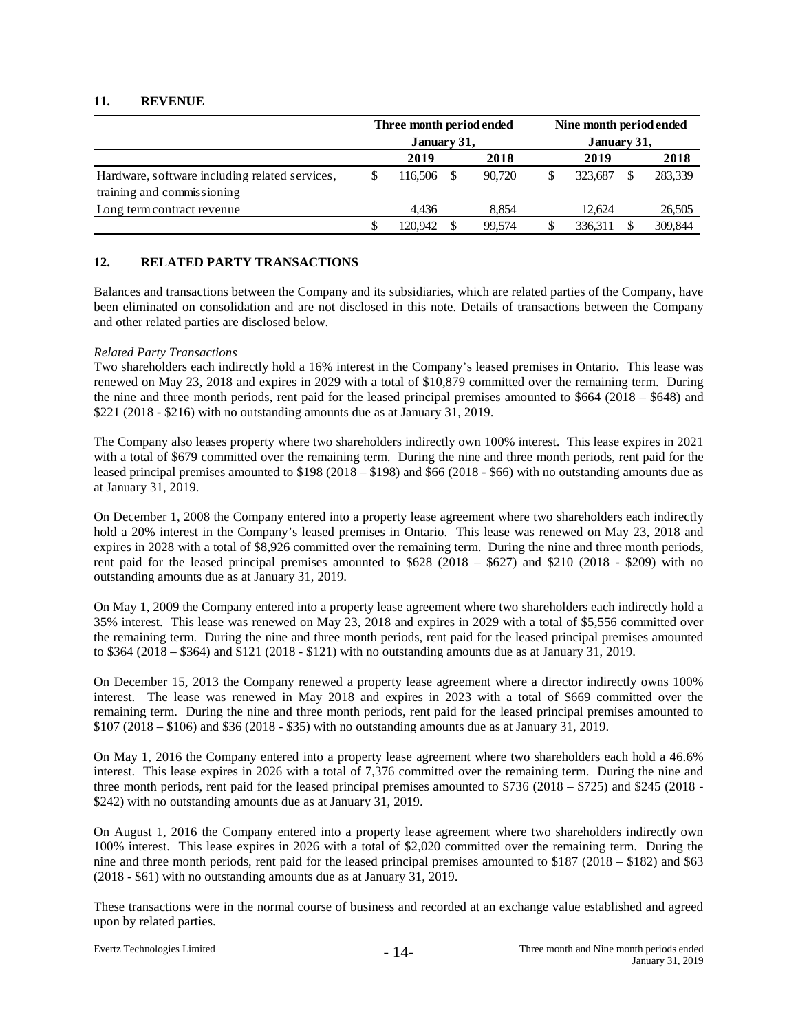# **11. REVENUE**

|                                                                              | Three month period ended<br>January 31, |         |  |        | Nine month period ended<br>January 31, |         |  |         |
|------------------------------------------------------------------------------|-----------------------------------------|---------|--|--------|----------------------------------------|---------|--|---------|
|                                                                              |                                         |         |  |        |                                        |         |  |         |
|                                                                              |                                         | 2019    |  | 2018   |                                        | 2019    |  | 2018    |
| Hardware, software including related services,<br>training and commissioning |                                         | 116.506 |  | 90.720 |                                        | 323,687 |  | 283,339 |
| Long term contract revenue                                                   |                                         | 4.436   |  | 8.854  |                                        | 12.624  |  | 26,505  |
|                                                                              |                                         | 120.942 |  | 99.574 |                                        | 336.311 |  | 309,844 |

# **12. RELATED PARTY TRANSACTIONS**

Balances and transactions between the Company and its subsidiaries, which are related parties of the Company, have been eliminated on consolidation and are not disclosed in this note. Details of transactions between the Company and other related parties are disclosed below.

#### *Related Party Transactions*

Two shareholders each indirectly hold a 16% interest in the Company's leased premises in Ontario. This lease was renewed on May 23, 2018 and expires in 2029 with a total of \$10,879 committed over the remaining term. During the nine and three month periods, rent paid for the leased principal premises amounted to \$664 (2018 – \$648) and \$221 (2018 - \$216) with no outstanding amounts due as at January 31, 2019.

The Company also leases property where two shareholders indirectly own 100% interest. This lease expires in 2021 with a total of \$679 committed over the remaining term. During the nine and three month periods, rent paid for the leased principal premises amounted to \$198 (2018 – \$198) and \$66 (2018 - \$66) with no outstanding amounts due as at January 31, 2019.

On December 1, 2008 the Company entered into a property lease agreement where two shareholders each indirectly hold a 20% interest in the Company's leased premises in Ontario. This lease was renewed on May 23, 2018 and expires in 2028 with a total of \$8,926 committed over the remaining term. During the nine and three month periods, rent paid for the leased principal premises amounted to  $$628$  (2018 –  $$627$ ) and \$210 (2018 - \$209) with no outstanding amounts due as at January 31, 2019.

On May 1, 2009 the Company entered into a property lease agreement where two shareholders each indirectly hold a 35% interest. This lease was renewed on May 23, 2018 and expires in 2029 with a total of \$5,556 committed over the remaining term. During the nine and three month periods, rent paid for the leased principal premises amounted to \$364 (2018 – \$364) and \$121 (2018 - \$121) with no outstanding amounts due as at January 31, 2019.

On December 15, 2013 the Company renewed a property lease agreement where a director indirectly owns 100% interest. The lease was renewed in May 2018 and expires in 2023 with a total of \$669 committed over the remaining term. During the nine and three month periods, rent paid for the leased principal premises amounted to \$107 (2018 – \$106) and \$36 (2018 - \$35) with no outstanding amounts due as at January 31, 2019.

On May 1, 2016 the Company entered into a property lease agreement where two shareholders each hold a 46.6% interest. This lease expires in 2026 with a total of 7,376 committed over the remaining term. During the nine and three month periods, rent paid for the leased principal premises amounted to \$736 (2018 – \$725) and \$245 (2018 - \$242) with no outstanding amounts due as at January 31, 2019.

On August 1, 2016 the Company entered into a property lease agreement where two shareholders indirectly own 100% interest. This lease expires in 2026 with a total of \$2,020 committed over the remaining term. During the nine and three month periods, rent paid for the leased principal premises amounted to \$187 (2018 – \$182) and \$63 (2018 - \$61) with no outstanding amounts due as at January 31, 2019.

These transactions were in the normal course of business and recorded at an exchange value established and agreed upon by related parties.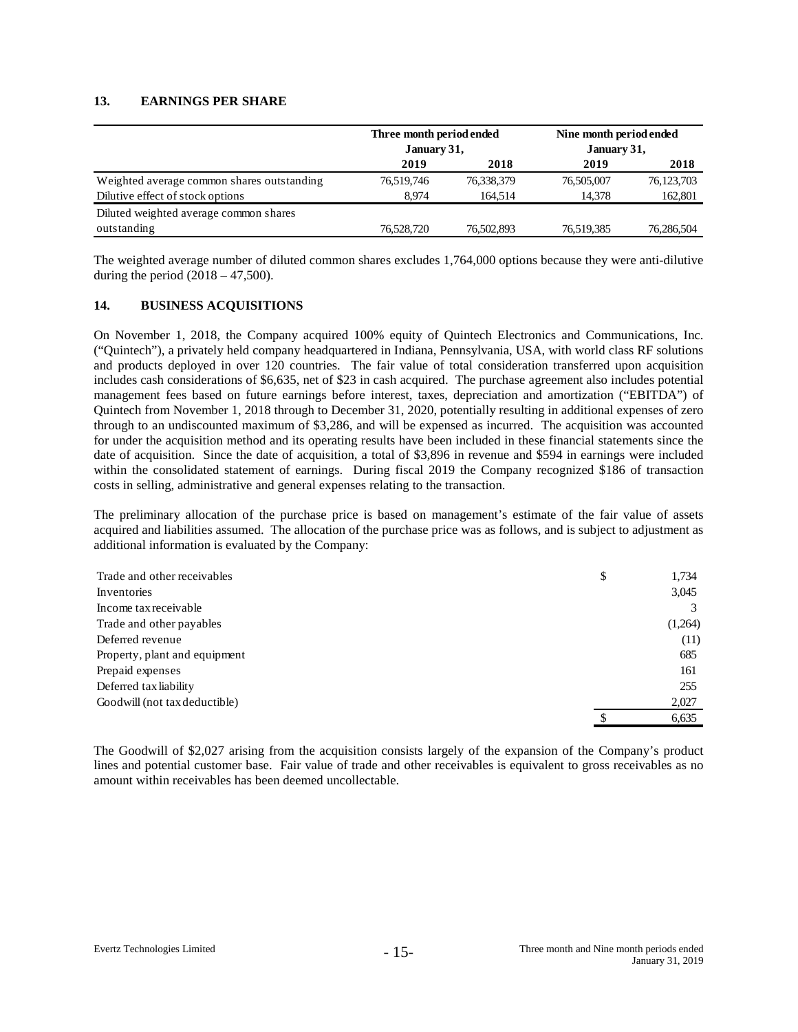### **13. EARNINGS PER SHARE**

|                                            | Three month period ended<br>January 31, |            | Nine month period ended<br>January 31, |              |  |
|--------------------------------------------|-----------------------------------------|------------|----------------------------------------|--------------|--|
|                                            | 2019                                    | 2018       | 2019                                   | 2018         |  |
| Weighted average common shares outstanding | 76,519,746                              | 76,338,379 | 76,505,007                             | 76, 123, 703 |  |
| Dilutive effect of stock options           | 8.974                                   | 164.514    | 14.378                                 | 162,801      |  |
| Diluted weighted average common shares     |                                         |            |                                        |              |  |
| outstanding                                | 76,528,720                              | 76,502,893 | 76,519,385                             | 76,286,504   |  |

The weighted average number of diluted common shares excludes 1,764,000 options because they were anti-dilutive during the period  $(2018 - 47,500)$ .

#### **14. BUSINESS ACQUISITIONS**

On November 1, 2018, the Company acquired 100% equity of Quintech Electronics and Communications, Inc. ("Quintech"), a privately held company headquartered in Indiana, Pennsylvania, USA, with world class RF solutions and products deployed in over 120 countries. The fair value of total consideration transferred upon acquisition includes cash considerations of \$6,635, net of \$23 in cash acquired. The purchase agreement also includes potential management fees based on future earnings before interest, taxes, depreciation and amortization ("EBITDA") of Quintech from November 1, 2018 through to December 31, 2020, potentially resulting in additional expenses of zero through to an undiscounted maximum of \$3,286, and will be expensed as incurred. The acquisition was accounted for under the acquisition method and its operating results have been included in these financial statements since the date of acquisition. Since the date of acquisition, a total of \$3,896 in revenue and \$594 in earnings were included within the consolidated statement of earnings. During fiscal 2019 the Company recognized \$186 of transaction costs in selling, administrative and general expenses relating to the transaction.

The preliminary allocation of the purchase price is based on management's estimate of the fair value of assets acquired and liabilities assumed. The allocation of the purchase price was as follows, and is subject to adjustment as additional information is evaluated by the Company:

| Trade and other receivables   | \$ | 1,734   |
|-------------------------------|----|---------|
| Inventories                   |    | 3,045   |
| Income tax receivable         |    |         |
| Trade and other payables      |    | (1,264) |
| Deferred revenue              |    | (11)    |
| Property, plant and equipment |    | 685     |
| Prepaid expenses              |    | 161     |
| Deferred tax liability        |    | 255     |
| Goodwill (not tax deductible) |    | 2,027   |
|                               | S  | 6,635   |

The Goodwill of \$2,027 arising from the acquisition consists largely of the expansion of the Company's product lines and potential customer base. Fair value of trade and other receivables is equivalent to gross receivables as no amount within receivables has been deemed uncollectable.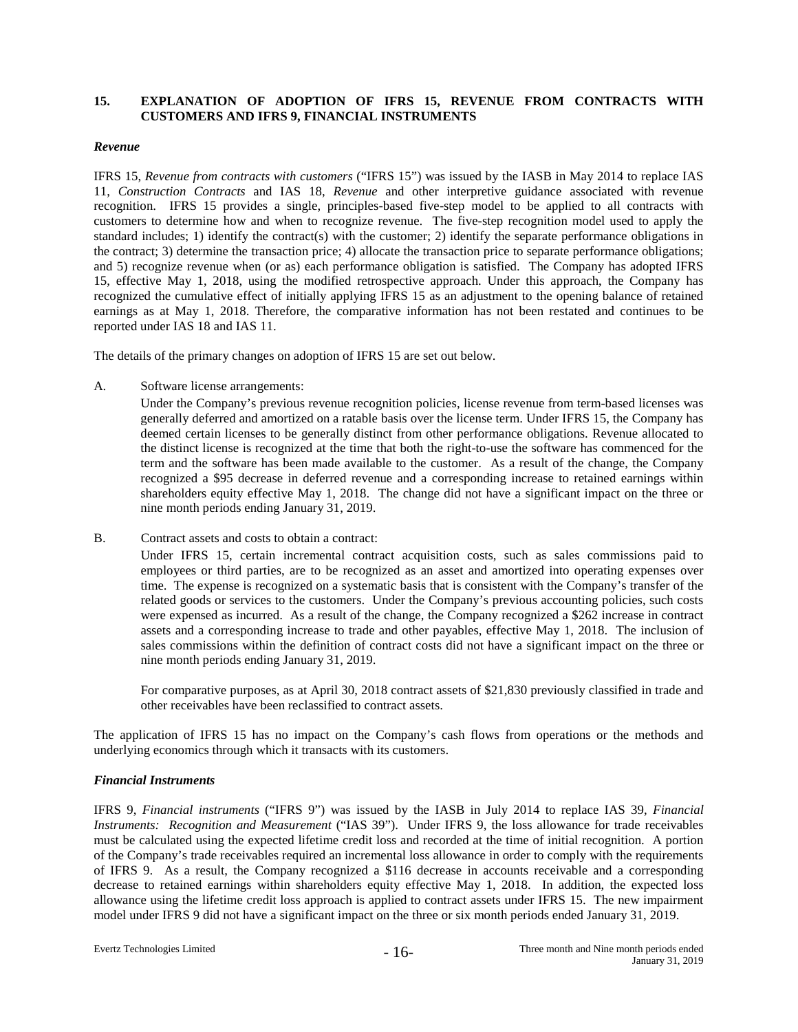# **15. EXPLANATION OF ADOPTION OF IFRS 15, REVENUE FROM CONTRACTS WITH CUSTOMERS AND IFRS 9, FINANCIAL INSTRUMENTS**

#### *Revenue*

IFRS 15, *Revenue from contracts with customers* ("IFRS 15") was issued by the IASB in May 2014 to replace IAS 11, *Construction Contracts* and IAS 18, *Revenue* and other interpretive guidance associated with revenue recognition. IFRS 15 provides a single, principles-based five-step model to be applied to all contracts with customers to determine how and when to recognize revenue. The five-step recognition model used to apply the standard includes; 1) identify the contract(s) with the customer; 2) identify the separate performance obligations in the contract; 3) determine the transaction price; 4) allocate the transaction price to separate performance obligations; and 5) recognize revenue when (or as) each performance obligation is satisfied. The Company has adopted IFRS 15, effective May 1, 2018, using the modified retrospective approach. Under this approach, the Company has recognized the cumulative effect of initially applying IFRS 15 as an adjustment to the opening balance of retained earnings as at May 1, 2018. Therefore, the comparative information has not been restated and continues to be reported under IAS 18 and IAS 11.

The details of the primary changes on adoption of IFRS 15 are set out below.

A. Software license arrangements:

Under the Company's previous revenue recognition policies, license revenue from term-based licenses was generally deferred and amortized on a ratable basis over the license term. Under IFRS 15, the Company has deemed certain licenses to be generally distinct from other performance obligations. Revenue allocated to the distinct license is recognized at the time that both the right-to-use the software has commenced for the term and the software has been made available to the customer. As a result of the change, the Company recognized a \$95 decrease in deferred revenue and a corresponding increase to retained earnings within shareholders equity effective May 1, 2018. The change did not have a significant impact on the three or nine month periods ending January 31, 2019.

B. Contract assets and costs to obtain a contract:

Under IFRS 15, certain incremental contract acquisition costs, such as sales commissions paid to employees or third parties, are to be recognized as an asset and amortized into operating expenses over time. The expense is recognized on a systematic basis that is consistent with the Company's transfer of the related goods or services to the customers. Under the Company's previous accounting policies, such costs were expensed as incurred. As a result of the change, the Company recognized a \$262 increase in contract assets and a corresponding increase to trade and other payables, effective May 1, 2018. The inclusion of sales commissions within the definition of contract costs did not have a significant impact on the three or nine month periods ending January 31, 2019.

For comparative purposes, as at April 30, 2018 contract assets of \$21,830 previously classified in trade and other receivables have been reclassified to contract assets.

The application of IFRS 15 has no impact on the Company's cash flows from operations or the methods and underlying economics through which it transacts with its customers.

# *Financial Instruments*

IFRS 9, *Financial instruments* ("IFRS 9") was issued by the IASB in July 2014 to replace IAS 39, *Financial Instruments: Recognition and Measurement* ("IAS 39"). Under IFRS 9, the loss allowance for trade receivables must be calculated using the expected lifetime credit loss and recorded at the time of initial recognition. A portion of the Company's trade receivables required an incremental loss allowance in order to comply with the requirements of IFRS 9. As a result, the Company recognized a \$116 decrease in accounts receivable and a corresponding decrease to retained earnings within shareholders equity effective May 1, 2018. In addition, the expected loss allowance using the lifetime credit loss approach is applied to contract assets under IFRS 15. The new impairment model under IFRS 9 did not have a significant impact on the three or six month periods ended January 31, 2019.